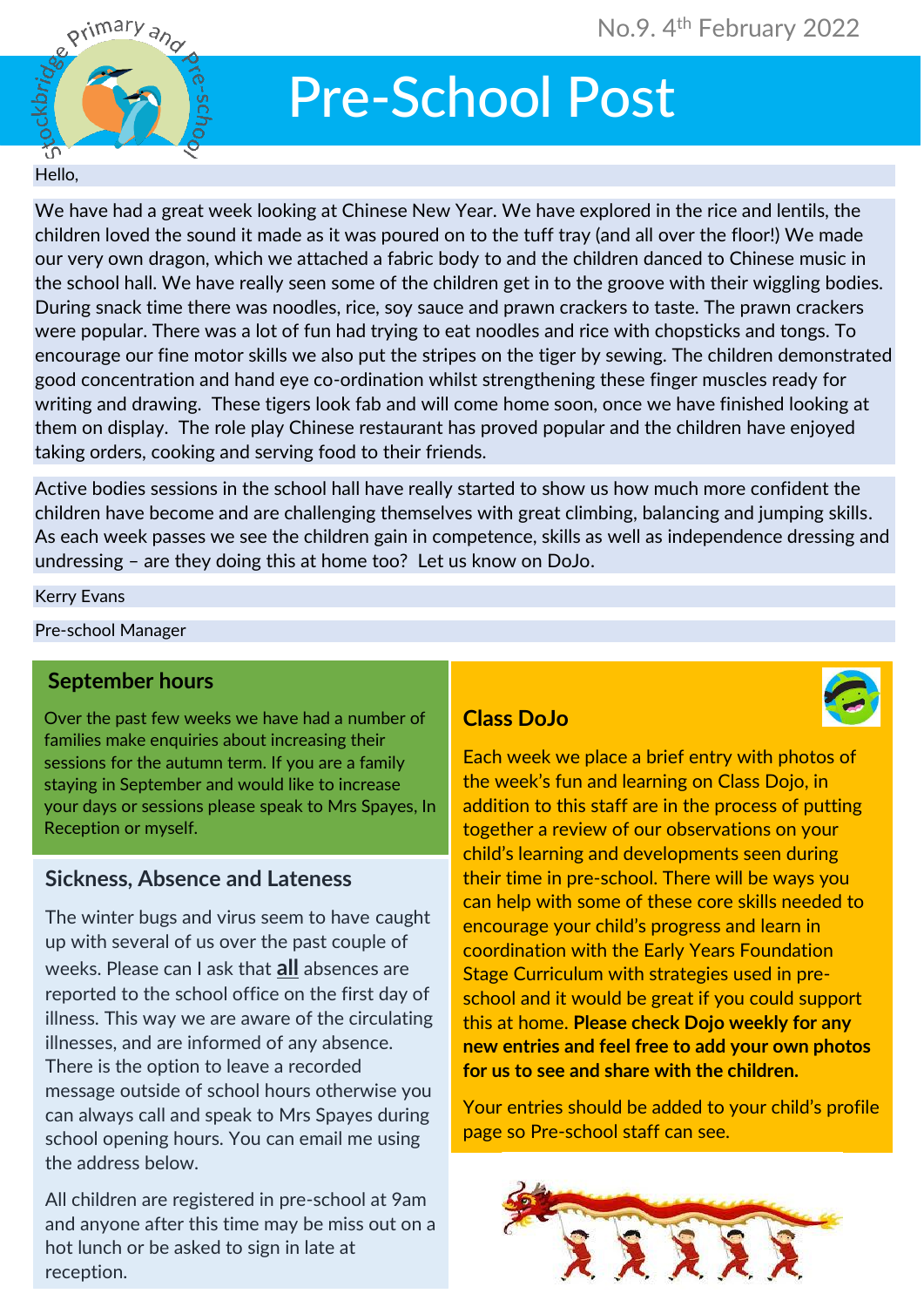

# Pre-School Post

#### *Hello,*

*We have had a great week looking at Chinese New Year. We have explored in the rice and lentils, the children loved the sound it made as it was poured on to the tuff tray (and all over the floor!) We made our very own dragon, which we attached a fabric body to and the children danced to Chinese music in the school hall. We have really seen some of the children get in to the groove with their wiggling bodies. During snack time there was noodles, rice, soy sauce and prawn crackers to taste. The prawn crackers were popular. There was a lot of fun had trying to eat noodles and rice with chopsticks and tongs. To encourage our fine motor skills we also put the stripes on the tiger by sewing. The children demonstrated good concentration and hand eye co-ordination whilst strengthening these finger muscles ready for writing and drawing. These tigers look fab and will come home soon, once we have finished looking at them on display. The role play Chinese restaurant has proved popular and the children have enjoyed taking orders, cooking and serving food to their friends.*

*Active bodies sessions in the school hall have really started to show us how much more confident the children have become and are challenging themselves with great climbing, balancing and jumping skills. As each week passes we see the children gain in competence, skills as well as independence dressing and undressing – are they doing this at home too? Let us know on DoJo.*

#### *Kerry Evans*

*Pre-school Manager*

#### **September hours**

*Over the past few weeks we have had a number of families make enquiries about increasing their sessions for the autumn term. If you are a family staying in September and would like to increase your days or sessions please speak to Mrs Spayes, In Reception or myself.* 

#### **Sickness, Absence and Lateness**

*The winter bugs and virus seem to have caught up with several of us over the past couple of weeks. Please can I ask that* **all** *absences are reported to the school office on the first day of illness. This way we are aware of the circulating illnesses, and are informed of any absence. There is the option to leave a recorded message outside of school hours otherwise you can always call and speak to Mrs Spayes during school opening hours. You can email me using the address below.*

 *hot lunch or be asked to sign in late at All children are registered in pre-school at 9am and anyone after this time may be miss out on a reception.*

## **Class DoJo**

*Each week we place a brief entry with photos of the week's fun and learning on Class Dojo, in addition to this staff are in the process of putting together a review of our observations on your child's learning and developments seen during their time in pre-school. There will be ways you can help with some of these core skills needed to encourage your child's progress and learn in coordination with the Early Years Foundation Stage Curriculum with strategies used in preschool and it would be great if you could support this at home.* **Please check Dojo weekly for any new entries and feel free to add your own photos for us to see and share with the children.**

*Your entries should be added to your child's profile page so Pre-school staff can see.*